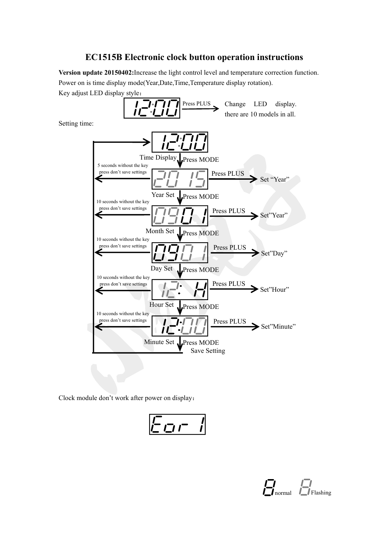## **EC1515B Electronic clock button operation instructions**

**Version update 20150402:**Increase the light control level and temperature correction function. Power on is time display mode(Year,Date,Time,Temperature display rotation).

Key adjust LED display style:



Clock module don't work after power on display:

$$
E_{\text{CIP}} =
$$

$$
\prod_{\text{normal}} \prod_{\text{Flashing}}
$$